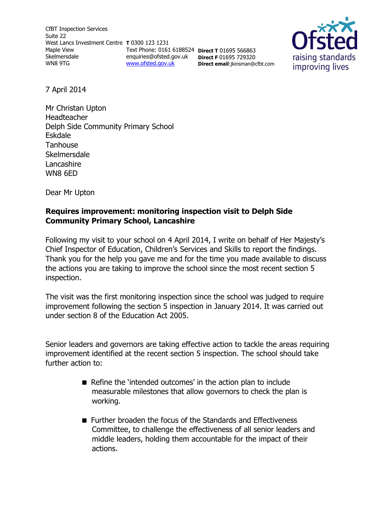CfBT Inspection Services Suite 22 West Lancs Investment Centre **T** 0300 123 1231 Maple View Skelmersdale WN8 9TG [www.ofsted.gov.uk](http://www.ofsted.gov.uk/)

Text Phone: 0161 6188524 **Direct T** 01695 566863 enquiries@ofsted.gov.uk **Direct F** 01695 729320 **Direct email**:jkinsman@cfbt.com



7 April 2014

Mr Christan Upton Headteacher Delph Side Community Primary School Eskdale **Tanhouse** Skelmersdale Lancashire WN8 6ED

Dear Mr Upton

### **Requires improvement: monitoring inspection visit to Delph Side Community Primary School, Lancashire**

Following my visit to your school on 4 April 2014, I write on behalf of Her Majesty's Chief Inspector of Education, Children's Services and Skills to report the findings. Thank you for the help you gave me and for the time you made available to discuss the actions you are taking to improve the school since the most recent section 5 inspection.

The visit was the first monitoring inspection since the school was judged to require improvement following the section 5 inspection in January 2014. It was carried out under section 8 of the Education Act 2005.

Senior leaders and governors are taking effective action to tackle the areas requiring improvement identified at the recent section 5 inspection. The school should take further action to:

- Refine the 'intended outcomes' in the action plan to include measurable milestones that allow governors to check the plan is working.
- **Further broaden the focus of the Standards and Effectiveness** Committee, to challenge the effectiveness of all senior leaders and middle leaders, holding them accountable for the impact of their actions.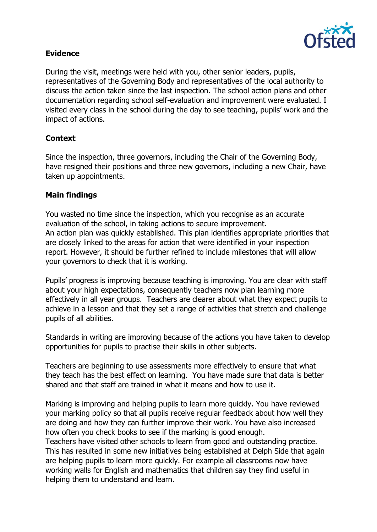

## **Evidence**

During the visit, meetings were held with you, other senior leaders, pupils, representatives of the Governing Body and representatives of the local authority to discuss the action taken since the last inspection. The school action plans and other documentation regarding school self-evaluation and improvement were evaluated. I visited every class in the school during the day to see teaching, pupils' work and the impact of actions.

# **Context**

Since the inspection, three governors, including the Chair of the Governing Body, have resigned their positions and three new governors, including a new Chair, have taken up appointments.

### **Main findings**

You wasted no time since the inspection, which you recognise as an accurate evaluation of the school, in taking actions to secure improvement. An action plan was quickly established. This plan identifies appropriate priorities that are closely linked to the areas for action that were identified in your inspection report. However, it should be further refined to include milestones that will allow your governors to check that it is working.

Pupils' progress is improving because teaching is improving. You are clear with staff about your high expectations, consequently teachers now plan learning more effectively in all year groups. Teachers are clearer about what they expect pupils to achieve in a lesson and that they set a range of activities that stretch and challenge pupils of all abilities.

Standards in writing are improving because of the actions you have taken to develop opportunities for pupils to practise their skills in other subjects.

Teachers are beginning to use assessments more effectively to ensure that what they teach has the best effect on learning. You have made sure that data is better shared and that staff are trained in what it means and how to use it.

Marking is improving and helping pupils to learn more quickly. You have reviewed your marking policy so that all pupils receive regular feedback about how well they are doing and how they can further improve their work. You have also increased how often you check books to see if the marking is good enough.

Teachers have visited other schools to learn from good and outstanding practice. This has resulted in some new initiatives being established at Delph Side that again are helping pupils to learn more quickly. For example all classrooms now have working walls for English and mathematics that children say they find useful in helping them to understand and learn.